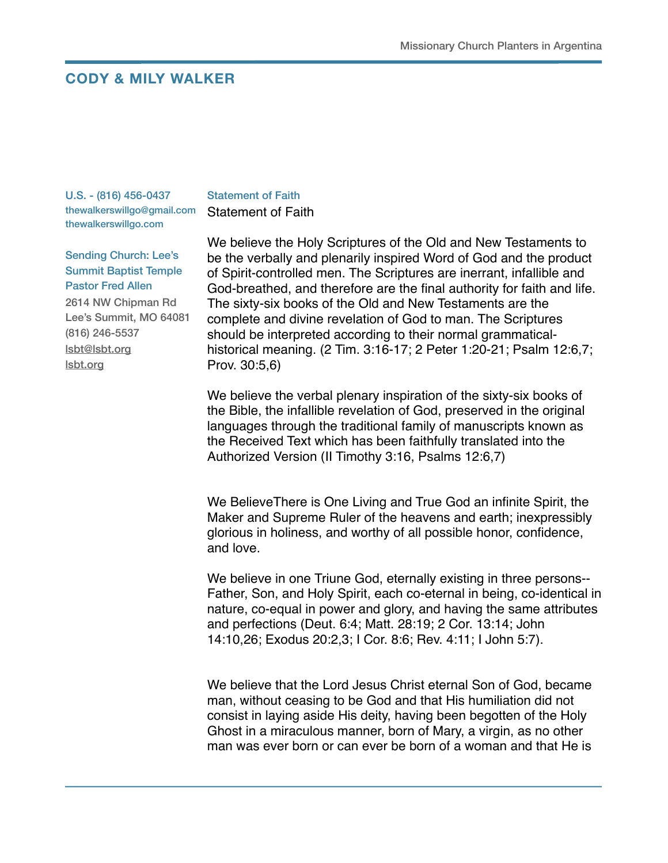## **CODY & MILY WALKER**

U.S. - (816) 456-0437 thewalkerswillgo@gmail.com thewalkerswillgo.com

## Statement of Faith

Statement of Faith

Sending Church: Lee's Summit Baptist Temple Pastor Fred Allen 2614 NW Chipman Rd Lee's Summit, MO 64081 (816) 246-5537 [lsbt@lsbt.org](mailto:lsbt@lsbt.org) [lsbt.org](http://lsbt.org)

We believe the Holy Scriptures of the Old and New Testaments to be the verbally and plenarily inspired Word of God and the product of Spirit-controlled men. The Scriptures are inerrant, infallible and God-breathed, and therefore are the final authority for faith and life. The sixty-six books of the Old and New Testaments are the complete and divine revelation of God to man. The Scriptures should be interpreted according to their normal grammaticalhistorical meaning. (2 Tim. 3:16-17; 2 Peter 1:20-21; Psalm 12:6,7; Prov. 30:5,6)

We believe the verbal plenary inspiration of the sixty-six books of the Bible, the infallible revelation of God, preserved in the original languages through the traditional family of manuscripts known as the Received Text which has been faithfully translated into the Authorized Version (II Timothy 3:16, Psalms 12:6,7)

We BelieveThere is One Living and True God an infinite Spirit, the Maker and Supreme Ruler of the heavens and earth; inexpressibly glorious in holiness, and worthy of all possible honor, confidence, and love.

We believe in one Triune God, eternally existing in three persons-- Father, Son, and Holy Spirit, each co-eternal in being, co-identical in nature, co-equal in power and glory, and having the same attributes and perfections (Deut. 6:4; Matt. 28:19; 2 Cor. 13:14; John 14:10,26; Exodus 20:2,3; I Cor. 8:6; Rev. 4:11; I John 5:7).

We believe that the Lord Jesus Christ eternal Son of God, became man, without ceasing to be God and that His humiliation did not consist in laying aside His deity, having been begotten of the Holy Ghost in a miraculous manner, born of Mary, a virgin, as no other man was ever born or can ever be born of a woman and that He is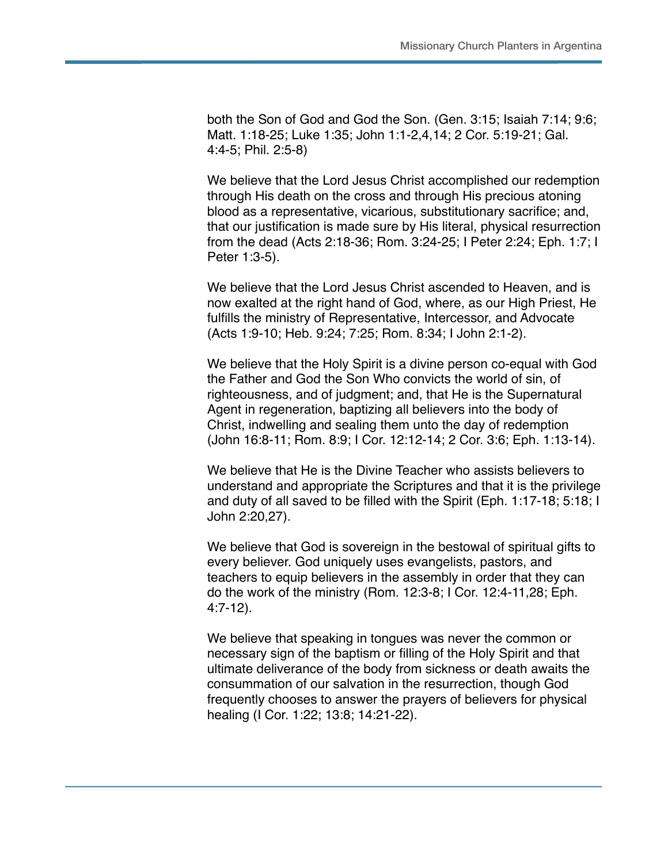both the Son of God and God the Son. (Gen. 3:15; Isaiah 7:14; 9:6; Matt. 1:18-25; Luke 1:35; John 1:1-2,4,14; 2 Cor. 5:19-21; Gal. 4:4-5; Phil. 2:5-8)

We believe that the Lord Jesus Christ accomplished our redemption through His death on the cross and through His precious atoning blood as a representative, vicarious, substitutionary sacrifice; and, that our justification is made sure by His literal, physical resurrection from the dead (Acts 2:18-36; Rom. 3:24-25; I Peter 2:24; Eph. 1:7; I Peter 1:3-5).

We believe that the Lord Jesus Christ ascended to Heaven, and is now exalted at the right hand of God, where, as our High Priest, He fulfills the ministry of Representative, Intercessor, and Advocate (Acts 1:9-10; Heb. 9:24; 7:25; Rom. 8:34; I John 2:1-2).

We believe that the Holy Spirit is a divine person co-equal with God the Father and God the Son Who convicts the world of sin, of righteousness, and of judgment; and, that He is the Supernatural Agent in regeneration, baptizing all believers into the body of Christ, indwelling and sealing them unto the day of redemption (John 16:8-11; Rom. 8:9; I Cor. 12:12-14; 2 Cor. 3:6; Eph. 1:13-14).

We believe that He is the Divine Teacher who assists believers to understand and appropriate the Scriptures and that it is the privilege and duty of all saved to be filled with the Spirit (Eph. 1:17-18; 5:18; I John 2:20,27).

We believe that God is sovereign in the bestowal of spiritual gifts to every believer. God uniquely uses evangelists, pastors, and teachers to equip believers in the assembly in order that they can do the work of the ministry (Rom. 12:3-8; I Cor. 12:4-11,28; Eph. 4:7-12).

We believe that speaking in tongues was never the common or necessary sign of the baptism or filling of the Holy Spirit and that ultimate deliverance of the body from sickness or death awaits the consummation of our salvation in the resurrection, though God frequently chooses to answer the prayers of believers for physical healing (I Cor. 1:22; 13:8; 14:21-22).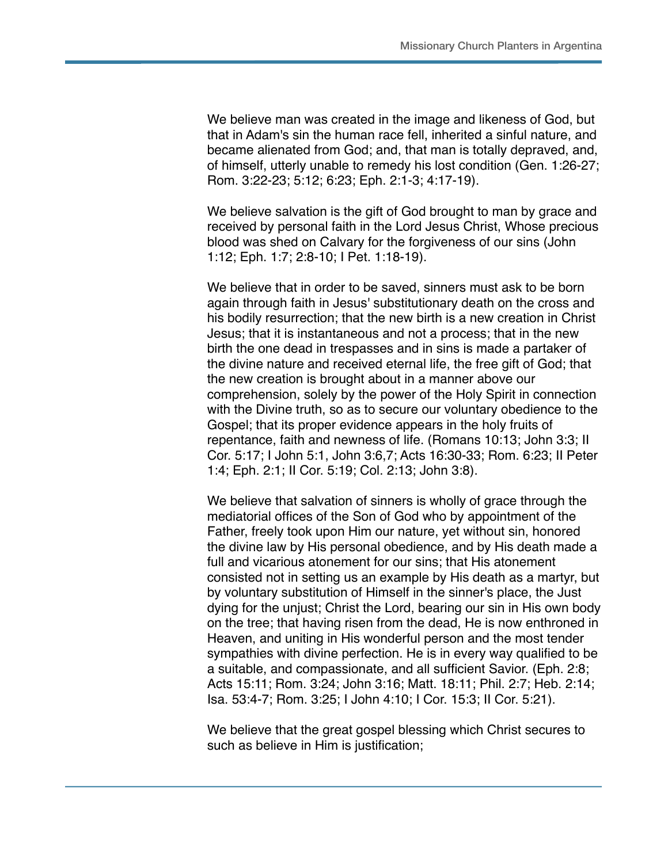We believe man was created in the image and likeness of God, but that in Adam's sin the human race fell, inherited a sinful nature, and became alienated from God; and, that man is totally depraved, and, of himself, utterly unable to remedy his lost condition (Gen. 1:26-27; Rom. 3:22-23; 5:12; 6:23; Eph. 2:1-3; 4:17-19).

We believe salvation is the gift of God brought to man by grace and received by personal faith in the Lord Jesus Christ, Whose precious blood was shed on Calvary for the forgiveness of our sins (John 1:12; Eph. 1:7; 2:8-10; I Pet. 1:18-19).

We believe that in order to be saved, sinners must ask to be born again through faith in Jesus' substitutionary death on the cross and his bodily resurrection; that the new birth is a new creation in Christ Jesus; that it is instantaneous and not a process; that in the new birth the one dead in trespasses and in sins is made a partaker of the divine nature and received eternal life, the free gift of God; that the new creation is brought about in a manner above our comprehension, solely by the power of the Holy Spirit in connection with the Divine truth, so as to secure our voluntary obedience to the Gospel; that its proper evidence appears in the holy fruits of repentance, faith and newness of life. (Romans 10:13; John 3:3; II Cor. 5:17; I John 5:1, John 3:6,7; Acts 16:30-33; Rom. 6:23; II Peter 1:4; Eph. 2:1; II Cor. 5:19; Col. 2:13; John 3:8).

We believe that salvation of sinners is wholly of grace through the mediatorial offices of the Son of God who by appointment of the Father, freely took upon Him our nature, yet without sin, honored the divine law by His personal obedience, and by His death made a full and vicarious atonement for our sins; that His atonement consisted not in setting us an example by His death as a martyr, but by voluntary substitution of Himself in the sinner's place, the Just dying for the unjust; Christ the Lord, bearing our sin in His own body on the tree; that having risen from the dead, He is now enthroned in Heaven, and uniting in His wonderful person and the most tender sympathies with divine perfection. He is in every way qualified to be a suitable, and compassionate, and all sufficient Savior. (Eph. 2:8; Acts 15:11; Rom. 3:24; John 3:16; Matt. 18:11; Phil. 2:7; Heb. 2:14; Isa. 53:4-7; Rom. 3:25; I John 4:10; I Cor. 15:3; II Cor. 5:21).

We believe that the great gospel blessing which Christ secures to such as believe in Him is justification;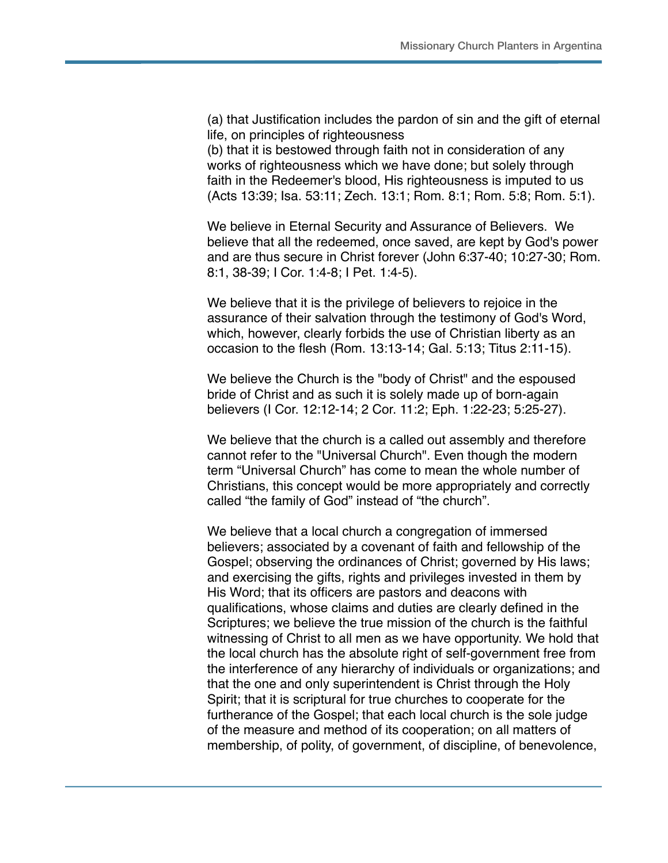(a) that Justification includes the pardon of sin and the gift of eternal life, on principles of righteousness

(b) that it is bestowed through faith not in consideration of any works of righteousness which we have done; but solely through faith in the Redeemer's blood, His righteousness is imputed to us (Acts 13:39; Isa. 53:11; Zech. 13:1; Rom. 8:1; Rom. 5:8; Rom. 5:1).

We believe in Eternal Security and Assurance of Believers. We believe that all the redeemed, once saved, are kept by God's power and are thus secure in Christ forever (John 6:37-40; 10:27-30; Rom. 8:1, 38-39; I Cor. 1:4-8; I Pet. 1:4-5).

We believe that it is the privilege of believers to rejoice in the assurance of their salvation through the testimony of God's Word, which, however, clearly forbids the use of Christian liberty as an occasion to the flesh (Rom. 13:13-14; Gal. 5:13; Titus 2:11-15).

We believe the Church is the "body of Christ" and the espoused bride of Christ and as such it is solely made up of born-again believers (I Cor. 12:12-14; 2 Cor. 11:2; Eph. 1:22-23; 5:25-27).

We believe that the church is a called out assembly and therefore cannot refer to the "Universal Church". Even though the modern term "Universal Church" has come to mean the whole number of Christians, this concept would be more appropriately and correctly called "the family of God" instead of "the church".

We believe that a local church a congregation of immersed believers; associated by a covenant of faith and fellowship of the Gospel; observing the ordinances of Christ; governed by His laws; and exercising the gifts, rights and privileges invested in them by His Word; that its officers are pastors and deacons with qualifications, whose claims and duties are clearly defined in the Scriptures; we believe the true mission of the church is the faithful witnessing of Christ to all men as we have opportunity. We hold that the local church has the absolute right of self-government free from the interference of any hierarchy of individuals or organizations; and that the one and only superintendent is Christ through the Holy Spirit; that it is scriptural for true churches to cooperate for the furtherance of the Gospel; that each local church is the sole judge of the measure and method of its cooperation; on all matters of membership, of polity, of government, of discipline, of benevolence,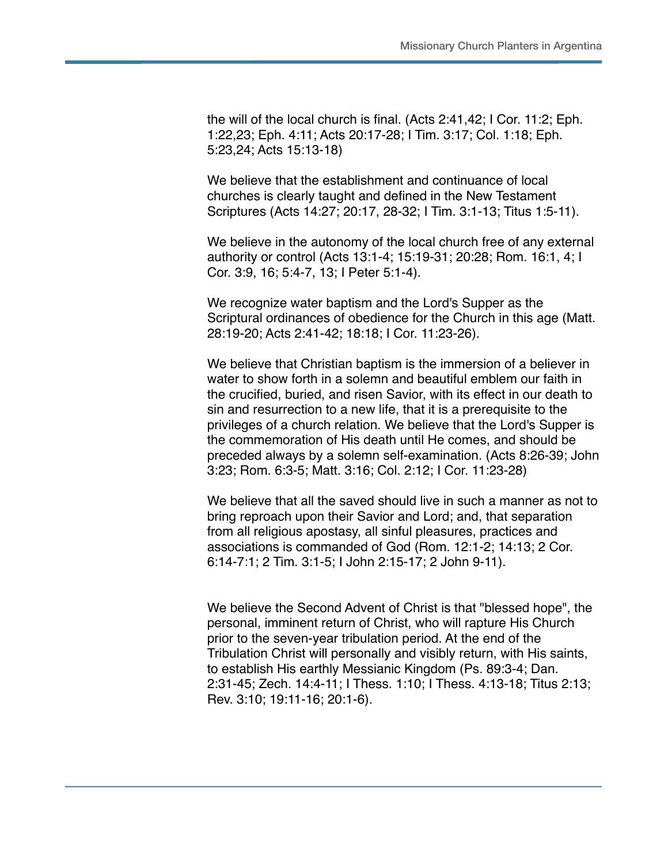the will of the local church is final. (Acts 2:41,42; I Cor. 11:2; Eph. 1:22,23; Eph. 4:11; Acts 20:17-28; I Tim. 3:17; Col. 1:18; Eph. 5:23,24; Acts 15:13-18)

We believe that the establishment and continuance of local churches is clearly taught and defined in the New Testament Scriptures (Acts 14:27; 20:17, 28-32; I Tim. 3:1-13; Titus 1:5-11).

We believe in the autonomy of the local church free of any external authority or control (Acts 13:1-4; 15:19-31; 20:28; Rom. 16:1, 4; I Cor. 3:9, 16; 5:4-7, 13; I Peter 5:1-4).

We recognize water baptism and the Lord's Supper as the Scriptural ordinances of obedience for the Church in this age (Matt. 28:19-20; Acts 2:41-42; 18:18; I Cor. 11:23-26).

We believe that Christian baptism is the immersion of a believer in water to show forth in a solemn and beautiful emblem our faith in the crucified, buried, and risen Savior, with its effect in our death to sin and resurrection to a new life, that it is a prerequisite to the privileges of a church relation. We believe that the Lord's Supper is the commemoration of His death until He comes, and should be preceded always by a solemn self-examination. (Acts 8:26-39; John 3:23; Rom. 6:3-5; Matt. 3:16; Col. 2:12; I Cor. 11:23-28)

We believe that all the saved should live in such a manner as not to bring reproach upon their Savior and Lord; and, that separation from all religious apostasy, all sinful pleasures, practices and associations is commanded of God (Rom. 12:1-2; 14:13; 2 Cor. 6:14-7:1; 2 Tim. 3:1-5; I John 2:15-17; 2 John 9-11).

We believe the Second Advent of Christ is that "blessed hope", the personal, imminent return of Christ, who will rapture His Church prior to the seven-year tribulation period. At the end of the Tribulation Christ will personally and visibly return, with His saints, to establish His earthly Messianic Kingdom (Ps. 89:3-4; Dan. 2:31-45; Zech. 14:4-11; I Thess. 1:10; I Thess. 4:13-18; Titus 2:13; Rev. 3:10; 19:11-16; 20:1-6).